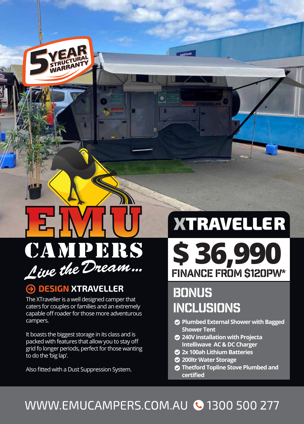

## **A DESIGN XTRAVELLER**

The XTraveller is a well designed camper that caters for couples or families and an extremely capable off roader for those more adventurous campers.

It boasts the biggest storage in its class and is packed with features that allow you to stay off grid fo longer periods, perfect for those wanting to do the 'big lap'.

Also fitted with a Dust Suppression System.

# **XTRAVELLER**

**\$ 36,990** FINANCE FROM \$120PW\*

# **BONUS** inclusions

 $metric on$ 

- **Plumbed External Shower with Bagged Shower Tent**
- **240V installation with Projecta Intelliwave AC & DC Charger**
- **2x 100ah Lithium Batteries**
- **200ltr Water Storage**
- **Thetford Topline Stove Plumbed and certified**

# WWW.EMUCAMPERS.COM.AU @ 1300 500 277